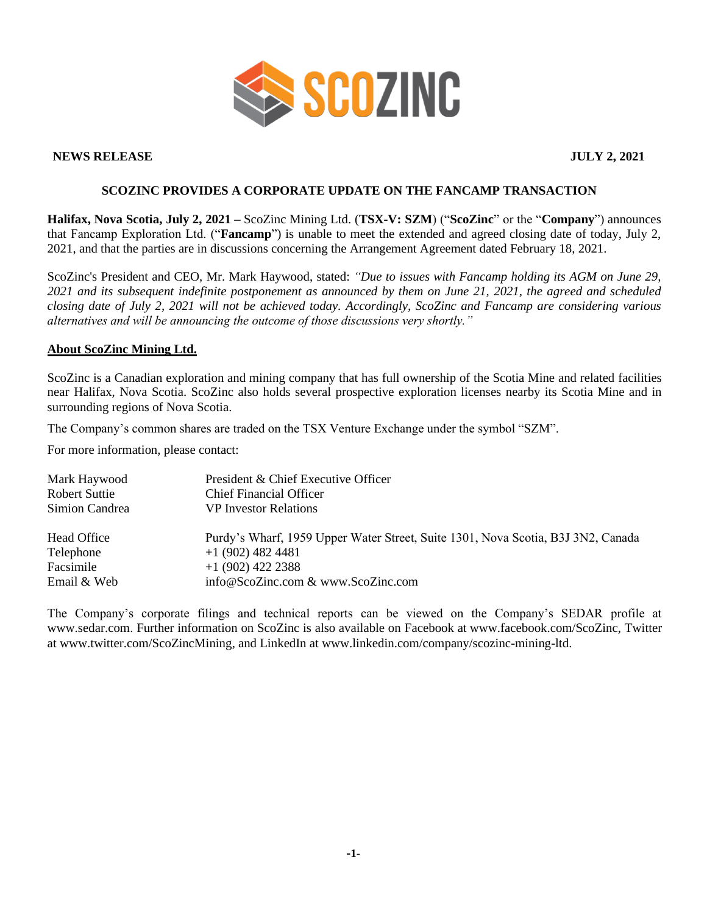

## **NEWS RELEASE JULY 2, 2021**

## **SCOZINC PROVIDES A CORPORATE UPDATE ON THE FANCAMP TRANSACTION**

**Halifax, Nova Scotia, July 2, 2021 –** ScoZinc Mining Ltd. (**TSX-V: SZM**) ("**ScoZinc**" or the "**Company**") announces that Fancamp Exploration Ltd. ("**Fancamp**") is unable to meet the extended and agreed closing date of today, July 2, 2021, and that the parties are in discussions concerning the Arrangement Agreement dated February 18, 2021.

ScoZinc's President and CEO, Mr. Mark Haywood, stated: *"Due to issues with Fancamp holding its AGM on June 29, 2021 and its subsequent indefinite postponement as announced by them on June 21, 2021, the agreed and scheduled closing date of July 2, 2021 will not be achieved today. Accordingly, ScoZinc and Fancamp are considering various alternatives and will be announcing the outcome of those discussions very shortly."*

## **About ScoZinc Mining Ltd.**

ScoZinc is a Canadian exploration and mining company that has full ownership of the Scotia Mine and related facilities near Halifax, Nova Scotia. ScoZinc also holds several prospective exploration licenses nearby its Scotia Mine and in surrounding regions of Nova Scotia.

The Company's common shares are traded on the TSX Venture Exchange under the symbol "SZM".

For more information, please contact:

| Mark Haywood<br><b>Robert Suttie</b><br>Simion Candrea | President & Chief Executive Officer<br><b>Chief Financial Officer</b><br><b>VP</b> Investor Relations |
|--------------------------------------------------------|-------------------------------------------------------------------------------------------------------|
| Head Office                                            | Purdy's Wharf, 1959 Upper Water Street, Suite 1301, Nova Scotia, B3J 3N2, Canada                      |
| Telephone                                              | $+1(902)$ 482 4481                                                                                    |
| Facsimile                                              | $+1(902)$ 422 2388                                                                                    |
| Email & Web                                            | info@ScoZinc.com & www.ScoZinc.com                                                                    |

The Company's corporate filings and technical reports can be viewed on the Company's SEDAR profile at [www.sedar.com.](http://www.sedar.com/) Further information on ScoZinc is also available on Facebook at www.facebook.com/ScoZinc, Twitter at www.twitter.com/ScoZincMining, and LinkedIn at www.linkedin.com/company/scozinc-mining-ltd.